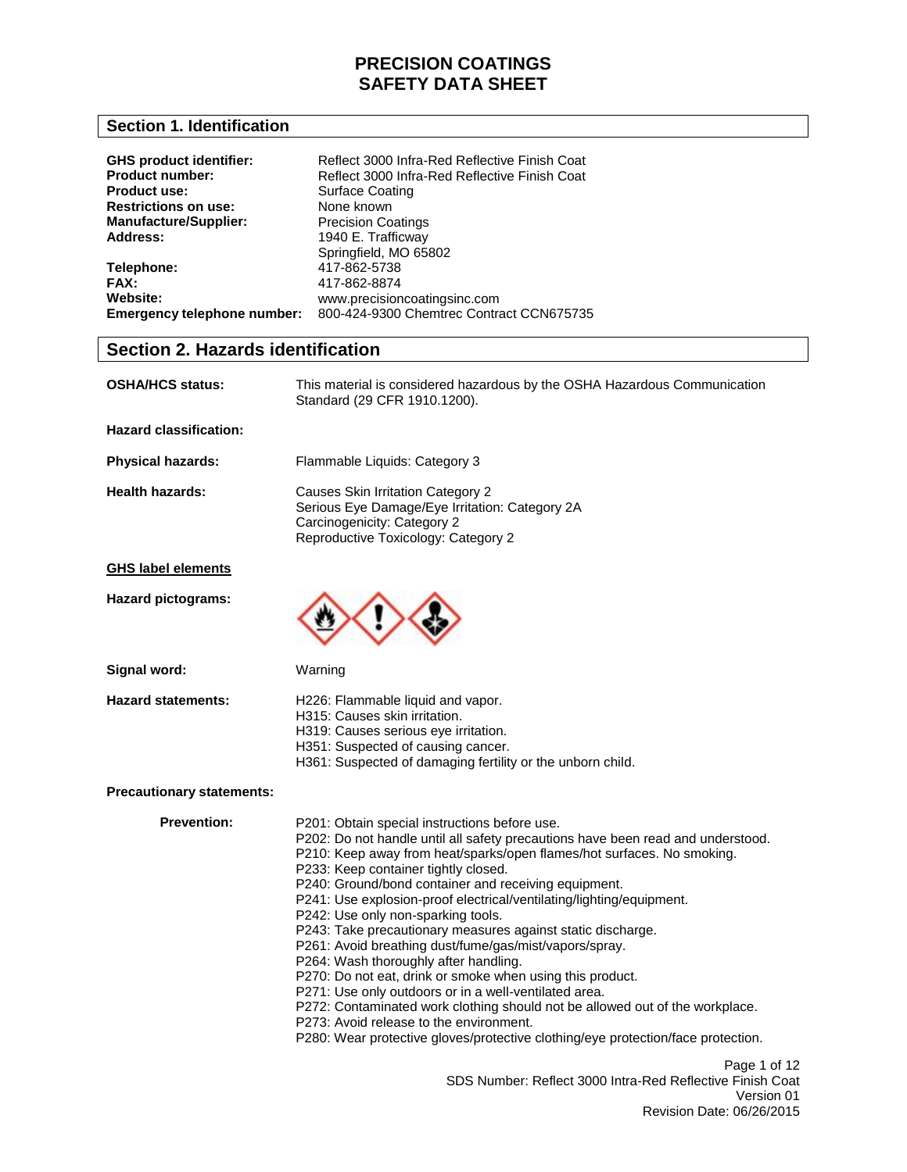## **Section 1. Identification**

| <b>GHS product identifier:</b><br><b>Product number:</b><br><b>Product use:</b><br><b>Restrictions on use:</b><br><b>Manufacture/Supplier:</b><br>Address: | Reflect 3000 Infra-Red Reflective Finish Coat<br>Reflect 3000 Infra-Red Reflective Finish Coat<br>Surface Coating<br>None known<br><b>Precision Coatings</b><br>1940 E. Trafficway<br>Springfield, MO 65802 |
|------------------------------------------------------------------------------------------------------------------------------------------------------------|-------------------------------------------------------------------------------------------------------------------------------------------------------------------------------------------------------------|
| Telephone:                                                                                                                                                 | 417-862-5738                                                                                                                                                                                                |
| <b>FAX:</b>                                                                                                                                                | 417-862-8874                                                                                                                                                                                                |
| Website:                                                                                                                                                   | www.precisioncoatingsinc.com                                                                                                                                                                                |
| Emergency telephone number:                                                                                                                                | 800-424-9300 Chemtrec Contract CCN675735                                                                                                                                                                    |

### **Section 2. Hazards identification**

| <b>OSHA/HCS status:</b>          | This material is considered hazardous by the OSHA Hazardous Communication<br>Standard (29 CFR 1910.1200).                                                                                                                                                                                                                                                                                                                                                                                                                                                                                                                                                                                                                                                                                                                                                                                                                                       |
|----------------------------------|-------------------------------------------------------------------------------------------------------------------------------------------------------------------------------------------------------------------------------------------------------------------------------------------------------------------------------------------------------------------------------------------------------------------------------------------------------------------------------------------------------------------------------------------------------------------------------------------------------------------------------------------------------------------------------------------------------------------------------------------------------------------------------------------------------------------------------------------------------------------------------------------------------------------------------------------------|
| <b>Hazard classification:</b>    |                                                                                                                                                                                                                                                                                                                                                                                                                                                                                                                                                                                                                                                                                                                                                                                                                                                                                                                                                 |
| <b>Physical hazards:</b>         | Flammable Liquids: Category 3                                                                                                                                                                                                                                                                                                                                                                                                                                                                                                                                                                                                                                                                                                                                                                                                                                                                                                                   |
| <b>Health hazards:</b>           | Causes Skin Irritation Category 2<br>Serious Eye Damage/Eye Irritation: Category 2A<br>Carcinogenicity: Category 2<br>Reproductive Toxicology: Category 2                                                                                                                                                                                                                                                                                                                                                                                                                                                                                                                                                                                                                                                                                                                                                                                       |
| <b>GHS label elements</b>        |                                                                                                                                                                                                                                                                                                                                                                                                                                                                                                                                                                                                                                                                                                                                                                                                                                                                                                                                                 |
| Hazard pictograms:               |                                                                                                                                                                                                                                                                                                                                                                                                                                                                                                                                                                                                                                                                                                                                                                                                                                                                                                                                                 |
| Signal word:                     | Warning                                                                                                                                                                                                                                                                                                                                                                                                                                                                                                                                                                                                                                                                                                                                                                                                                                                                                                                                         |
| <b>Hazard statements:</b>        | H226: Flammable liquid and vapor.<br>H315: Causes skin irritation.<br>H319: Causes serious eye irritation.<br>H351: Suspected of causing cancer.<br>H361: Suspected of damaging fertility or the unborn child.                                                                                                                                                                                                                                                                                                                                                                                                                                                                                                                                                                                                                                                                                                                                  |
| <b>Precautionary statements:</b> |                                                                                                                                                                                                                                                                                                                                                                                                                                                                                                                                                                                                                                                                                                                                                                                                                                                                                                                                                 |
| <b>Prevention:</b>               | P201: Obtain special instructions before use.<br>P202: Do not handle until all safety precautions have been read and understood.<br>P210: Keep away from heat/sparks/open flames/hot surfaces. No smoking.<br>P233: Keep container tightly closed.<br>P240: Ground/bond container and receiving equipment.<br>P241: Use explosion-proof electrical/ventilating/lighting/equipment.<br>P242: Use only non-sparking tools.<br>P243: Take precautionary measures against static discharge.<br>P261: Avoid breathing dust/fume/gas/mist/vapors/spray.<br>P264: Wash thoroughly after handling.<br>P270: Do not eat, drink or smoke when using this product.<br>P271: Use only outdoors or in a well-ventilated area.<br>P272: Contaminated work clothing should not be allowed out of the workplace.<br>P273: Avoid release to the environment.<br>P280: Wear protective gloves/protective clothing/eye protection/face protection.<br>Page 1 of 12 |
|                                  | SDS Number: Reflect 3000 Intra-Red Reflective Finish Coat<br>Version 01<br>Revision Date: 06/26/2015                                                                                                                                                                                                                                                                                                                                                                                                                                                                                                                                                                                                                                                                                                                                                                                                                                            |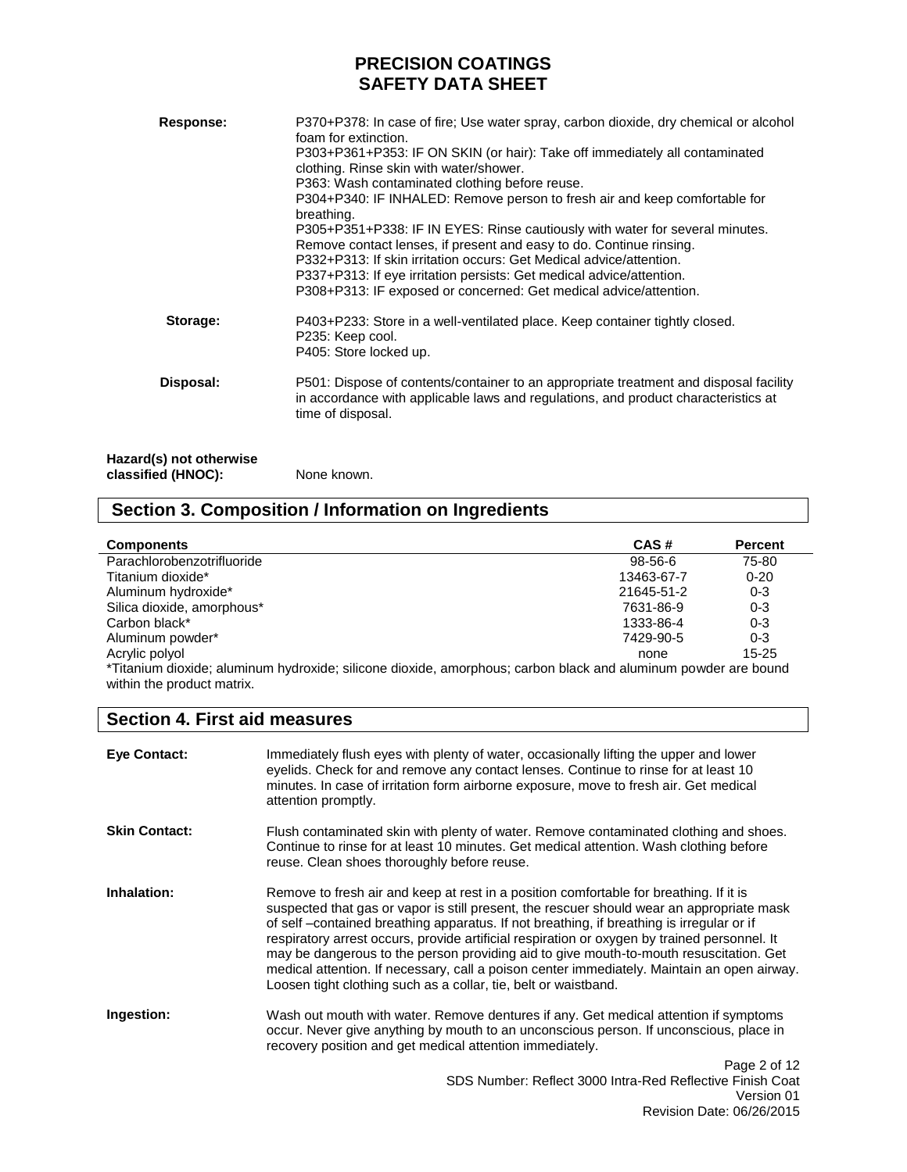| Response:                                     | P370+P378: In case of fire; Use water spray, carbon dioxide, dry chemical or alcohol<br>foam for extinction.<br>P303+P361+P353: IF ON SKIN (or hair): Take off immediately all contaminated<br>clothing. Rinse skin with water/shower.<br>P363: Wash contaminated clothing before reuse.<br>P304+P340: IF INHALED: Remove person to fresh air and keep comfortable for<br>breathing.<br>P305+P351+P338: IF IN EYES: Rinse cautiously with water for several minutes.<br>Remove contact lenses, if present and easy to do. Continue rinsing.<br>P332+P313: If skin irritation occurs: Get Medical advice/attention.<br>P337+P313: If eye irritation persists: Get medical advice/attention.<br>P308+P313: IF exposed or concerned: Get medical advice/attention. |
|-----------------------------------------------|-----------------------------------------------------------------------------------------------------------------------------------------------------------------------------------------------------------------------------------------------------------------------------------------------------------------------------------------------------------------------------------------------------------------------------------------------------------------------------------------------------------------------------------------------------------------------------------------------------------------------------------------------------------------------------------------------------------------------------------------------------------------|
| Storage:                                      | P403+P233: Store in a well-ventilated place. Keep container tightly closed.<br>P235: Keep cool.<br>P405: Store locked up.                                                                                                                                                                                                                                                                                                                                                                                                                                                                                                                                                                                                                                       |
| Disposal:                                     | P501: Dispose of contents/container to an appropriate treatment and disposal facility<br>in accordance with applicable laws and regulations, and product characteristics at<br>time of disposal.                                                                                                                                                                                                                                                                                                                                                                                                                                                                                                                                                                |
| Hazard(s) not otherwise<br>classified (HNOC): | None known.                                                                                                                                                                                                                                                                                                                                                                                                                                                                                                                                                                                                                                                                                                                                                     |

# **Section 3. Composition / Information on Ingredients**

| <b>Components</b>                                                                                              | CAS#       | <b>Percent</b> |
|----------------------------------------------------------------------------------------------------------------|------------|----------------|
| Parachlorobenzotrifluoride                                                                                     | 98-56-6    | 75-80          |
| Titanium dioxide*                                                                                              | 13463-67-7 | $0 - 20$       |
| Aluminum hydroxide*                                                                                            | 21645-51-2 | $0 - 3$        |
| Silica dioxide, amorphous*                                                                                     | 7631-86-9  | $0 - 3$        |
| Carbon black*                                                                                                  | 1333-86-4  | $0 - 3$        |
| Aluminum powder*                                                                                               | 7429-90-5  | $0 - 3$        |
| Acrylic polyol                                                                                                 | none       | $15 - 25$      |
| *Titanium dioxide; aluminum hydroxide; silicone dioxide, amorphous; carbon black and aluminum powder are bound |            |                |

within the product matrix.

# **Section 4. First aid measures**

| <b>Eye Contact:</b>  | Immediately flush eyes with plenty of water, occasionally lifting the upper and lower<br>eyelids. Check for and remove any contact lenses. Continue to rinse for at least 10<br>minutes. In case of irritation form airborne exposure, move to fresh air. Get medical<br>attention promptly.                                                                                                                                                                                                                                                                                                                                                  |
|----------------------|-----------------------------------------------------------------------------------------------------------------------------------------------------------------------------------------------------------------------------------------------------------------------------------------------------------------------------------------------------------------------------------------------------------------------------------------------------------------------------------------------------------------------------------------------------------------------------------------------------------------------------------------------|
| <b>Skin Contact:</b> | Flush contaminated skin with plenty of water. Remove contaminated clothing and shoes.<br>Continue to rinse for at least 10 minutes. Get medical attention. Wash clothing before<br>reuse. Clean shoes thoroughly before reuse.                                                                                                                                                                                                                                                                                                                                                                                                                |
| Inhalation:          | Remove to fresh air and keep at rest in a position comfortable for breathing. If it is<br>suspected that gas or vapor is still present, the rescuer should wear an appropriate mask<br>of self – contained breathing apparatus. If not breathing, if breathing is irregular or if<br>respiratory arrest occurs, provide artificial respiration or oxygen by trained personnel. It<br>may be dangerous to the person providing aid to give mouth-to-mouth resuscitation. Get<br>medical attention. If necessary, call a poison center immediately. Maintain an open airway.<br>Loosen tight clothing such as a collar, tie, belt or waistband. |
| Ingestion:           | Wash out mouth with water. Remove dentures if any. Get medical attention if symptoms<br>occur. Never give anything by mouth to an unconscious person. If unconscious, place in<br>recovery position and get medical attention immediately.                                                                                                                                                                                                                                                                                                                                                                                                    |
|                      | Page 2 of 12<br>SDS Number: Reflect 3000 Intra-Red Reflective Finish Coat                                                                                                                                                                                                                                                                                                                                                                                                                                                                                                                                                                     |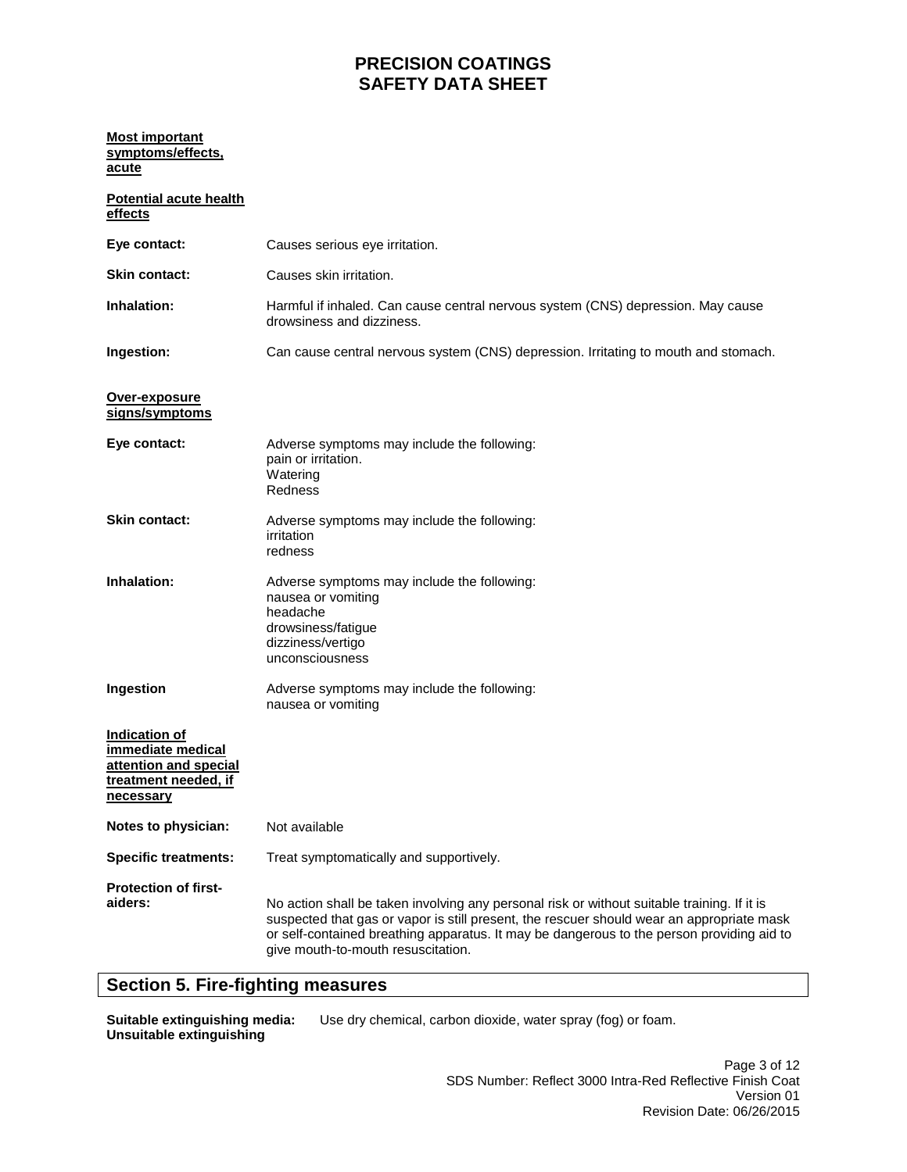### **Most important symptoms/effects, acute**

| <b>Potential acute health</b><br>effects                                                                |                                                                                                                                                                                                                                                                                                                             |
|---------------------------------------------------------------------------------------------------------|-----------------------------------------------------------------------------------------------------------------------------------------------------------------------------------------------------------------------------------------------------------------------------------------------------------------------------|
| Eye contact:                                                                                            | Causes serious eye irritation.                                                                                                                                                                                                                                                                                              |
| <b>Skin contact:</b>                                                                                    | Causes skin irritation.                                                                                                                                                                                                                                                                                                     |
| <b>Inhalation:</b>                                                                                      | Harmful if inhaled. Can cause central nervous system (CNS) depression. May cause<br>drowsiness and dizziness.                                                                                                                                                                                                               |
| Ingestion:                                                                                              | Can cause central nervous system (CNS) depression. Irritating to mouth and stomach.                                                                                                                                                                                                                                         |
| Over-exposure<br>signs/symptoms                                                                         |                                                                                                                                                                                                                                                                                                                             |
| Eye contact:                                                                                            | Adverse symptoms may include the following:<br>pain or irritation.<br>Watering<br>Redness                                                                                                                                                                                                                                   |
| <b>Skin contact:</b>                                                                                    | Adverse symptoms may include the following:<br>irritation<br>redness                                                                                                                                                                                                                                                        |
| Inhalation:                                                                                             | Adverse symptoms may include the following:<br>nausea or vomiting<br>headache<br>drowsiness/fatigue<br>dizziness/vertigo<br>unconsciousness                                                                                                                                                                                 |
| Ingestion                                                                                               | Adverse symptoms may include the following:<br>nausea or vomiting                                                                                                                                                                                                                                                           |
| Indication of<br>immediate medical<br>attention and special<br>treatment needed, if<br><u>necessary</u> |                                                                                                                                                                                                                                                                                                                             |
| Notes to physician:                                                                                     | Not available                                                                                                                                                                                                                                                                                                               |
| <b>Specific treatments:</b>                                                                             | Treat symptomatically and supportively.                                                                                                                                                                                                                                                                                     |
| <b>Protection of first-</b><br>aiders:                                                                  | No action shall be taken involving any personal risk or without suitable training. If it is<br>suspected that gas or vapor is still present, the rescuer should wear an appropriate mask<br>or self-contained breathing apparatus. It may be dangerous to the person providing aid to<br>give mouth-to-mouth resuscitation. |

## **Section 5. Fire-fighting measures**

**Suitable extinguishing media: Unsuitable extinguishing** 

Use dry chemical, carbon dioxide, water spray (fog) or foam.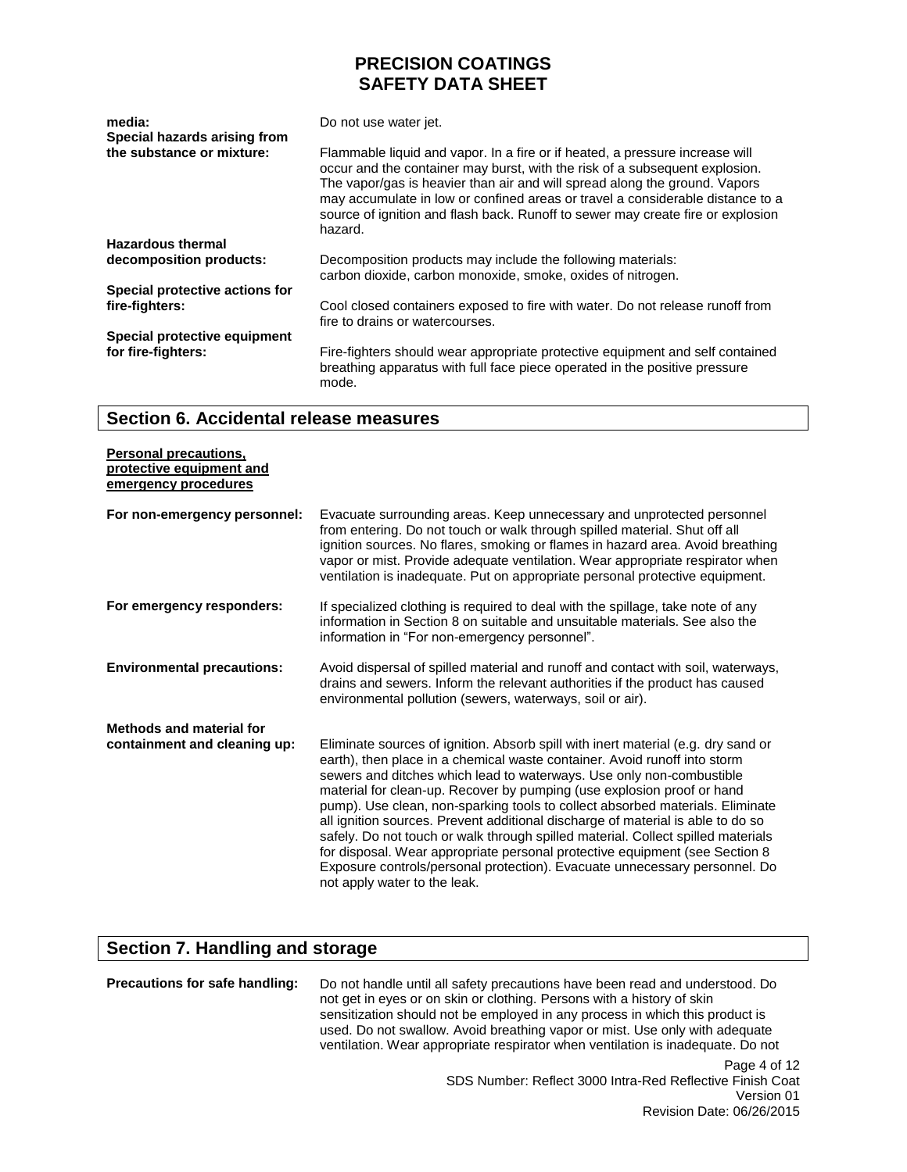| media:<br>Special hazards arising from | Do not use water jet.                                                                                                                                                                                                                                                                                                                                                                                                     |  |
|----------------------------------------|---------------------------------------------------------------------------------------------------------------------------------------------------------------------------------------------------------------------------------------------------------------------------------------------------------------------------------------------------------------------------------------------------------------------------|--|
| the substance or mixture:              | Flammable liquid and vapor. In a fire or if heated, a pressure increase will<br>occur and the container may burst, with the risk of a subsequent explosion.<br>The vapor/gas is heavier than air and will spread along the ground. Vapors<br>may accumulate in low or confined areas or travel a considerable distance to a<br>source of ignition and flash back. Runoff to sewer may create fire or explosion<br>hazard. |  |
| <b>Hazardous thermal</b>               |                                                                                                                                                                                                                                                                                                                                                                                                                           |  |
| decomposition products:                | Decomposition products may include the following materials:<br>carbon dioxide, carbon monoxide, smoke, oxides of nitrogen.                                                                                                                                                                                                                                                                                                |  |
| Special protective actions for         |                                                                                                                                                                                                                                                                                                                                                                                                                           |  |
| fire-fighters:                         | Cool closed containers exposed to fire with water. Do not release runoff from<br>fire to drains or watercourses.                                                                                                                                                                                                                                                                                                          |  |
| Special protective equipment           |                                                                                                                                                                                                                                                                                                                                                                                                                           |  |
| for fire-fighters:                     | Fire-fighters should wear appropriate protective equipment and self contained<br>breathing apparatus with full face piece operated in the positive pressure<br>mode.                                                                                                                                                                                                                                                      |  |

### **Section 6. Accidental release measures**

| <b>Personal precautions,</b><br>protective equipment and<br>emergency procedures |                                                                                                                                                                                                                                                                                                                                                                                                                                                                                                                                                                                                                                                                                                                                                                        |
|----------------------------------------------------------------------------------|------------------------------------------------------------------------------------------------------------------------------------------------------------------------------------------------------------------------------------------------------------------------------------------------------------------------------------------------------------------------------------------------------------------------------------------------------------------------------------------------------------------------------------------------------------------------------------------------------------------------------------------------------------------------------------------------------------------------------------------------------------------------|
| For non-emergency personnel:                                                     | Evacuate surrounding areas. Keep unnecessary and unprotected personnel<br>from entering. Do not touch or walk through spilled material. Shut off all<br>ignition sources. No flares, smoking or flames in hazard area. Avoid breathing<br>vapor or mist. Provide adequate ventilation. Wear appropriate respirator when<br>ventilation is inadequate. Put on appropriate personal protective equipment.                                                                                                                                                                                                                                                                                                                                                                |
| For emergency responders:                                                        | If specialized clothing is required to deal with the spillage, take note of any<br>information in Section 8 on suitable and unsuitable materials. See also the<br>information in "For non-emergency personnel".                                                                                                                                                                                                                                                                                                                                                                                                                                                                                                                                                        |
| <b>Environmental precautions:</b>                                                | Avoid dispersal of spilled material and runoff and contact with soil, waterways,<br>drains and sewers. Inform the relevant authorities if the product has caused<br>environmental pollution (sewers, waterways, soil or air).                                                                                                                                                                                                                                                                                                                                                                                                                                                                                                                                          |
| Methods and material for<br>containment and cleaning up:                         | Eliminate sources of ignition. Absorb spill with inert material (e.g. dry sand or<br>earth), then place in a chemical waste container. Avoid runoff into storm<br>sewers and ditches which lead to waterways. Use only non-combustible<br>material for clean-up. Recover by pumping (use explosion proof or hand<br>pump). Use clean, non-sparking tools to collect absorbed materials. Eliminate<br>all ignition sources. Prevent additional discharge of material is able to do so<br>safely. Do not touch or walk through spilled material. Collect spilled materials<br>for disposal. Wear appropriate personal protective equipment (see Section 8)<br>Exposure controls/personal protection). Evacuate unnecessary personnel. Do<br>not apply water to the leak. |

# **Section 7. Handling and storage**

**Precautions for safe handling:** Do not handle until all safety precautions have been read and understood. Do not get in eyes or on skin or clothing. Persons with a history of skin sensitization should not be employed in any process in which this product is used. Do not swallow. Avoid breathing vapor or mist. Use only with adequate ventilation. Wear appropriate respirator when ventilation is inadequate. Do not

> Page 4 of 12 SDS Number: Reflect 3000 Intra-Red Reflective Finish Coat Version 01 Revision Date: 06/26/2015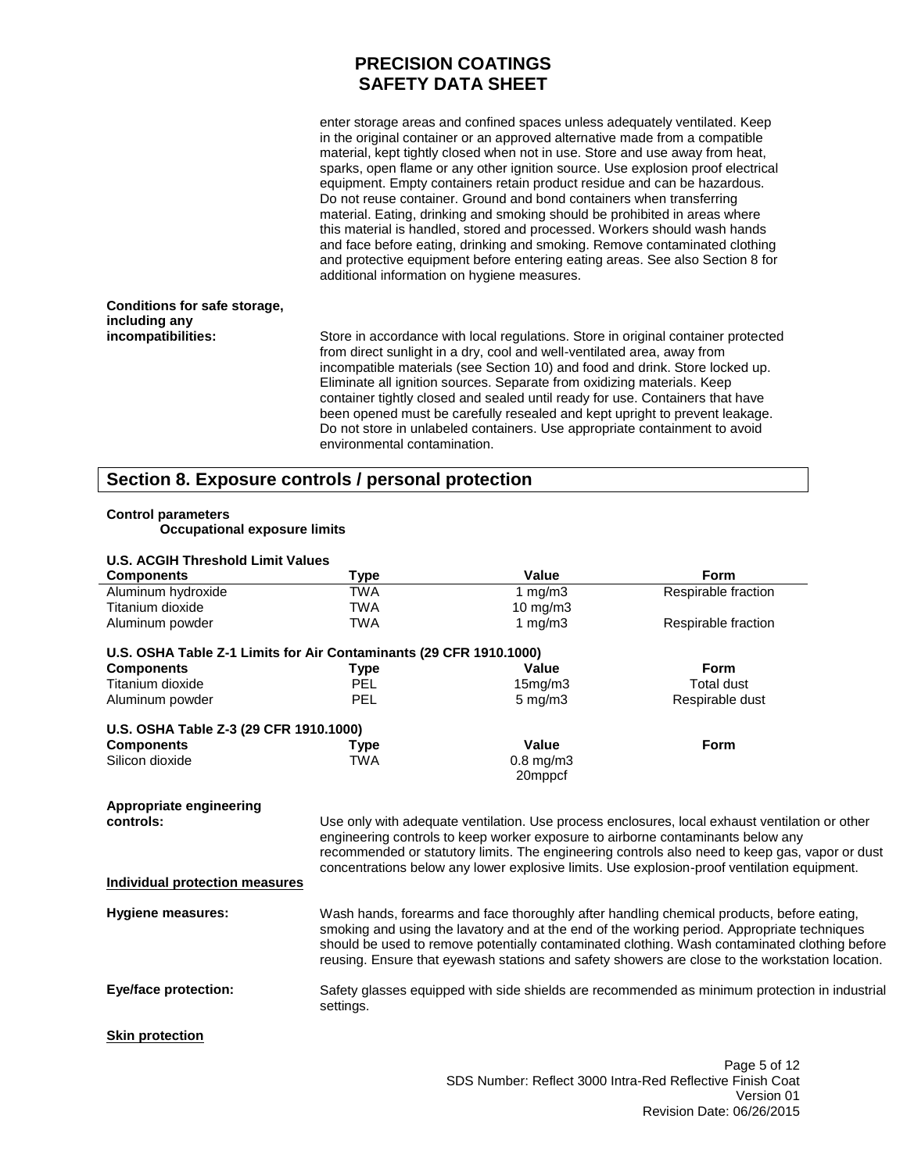enter storage areas and confined spaces unless adequately ventilated. Keep in the original container or an approved alternative made from a compatible material, kept tightly closed when not in use. Store and use away from heat, sparks, open flame or any other ignition source. Use explosion proof electrical equipment. Empty containers retain product residue and can be hazardous. Do not reuse container. Ground and bond containers when transferring material. Eating, drinking and smoking should be prohibited in areas where this material is handled, stored and processed. Workers should wash hands and face before eating, drinking and smoking. Remove contaminated clothing and protective equipment before entering eating areas. See also Section 8 for additional information on hygiene measures.

#### **Conditions for safe storage, including any incompatibilities:**

Store in accordance with local regulations. Store in original container protected from direct sunlight in a dry, cool and well-ventilated area, away from incompatible materials (see Section 10) and food and drink. Store locked up. Eliminate all ignition sources. Separate from oxidizing materials. Keep container tightly closed and sealed until ready for use. Containers that have been opened must be carefully resealed and kept upright to prevent leakage. Do not store in unlabeled containers. Use appropriate containment to avoid environmental contamination.

### **Section 8. Exposure controls / personal protection**

### **Control parameters**

**Occupational exposure limits**

| <b>U.S. ACGIH Threshold Limit Values</b>                           |             |                   |                                                                                                 |
|--------------------------------------------------------------------|-------------|-------------------|-------------------------------------------------------------------------------------------------|
| <b>Components</b>                                                  | <b>Type</b> | Value             | Form                                                                                            |
| Aluminum hydroxide                                                 | <b>TWA</b>  | 1 $mg/m3$         | Respirable fraction                                                                             |
| Titanium dioxide                                                   | <b>TWA</b>  | $10 \text{ mg/m}$ |                                                                                                 |
| Aluminum powder                                                    | <b>TWA</b>  | 1 $mg/m3$         | Respirable fraction                                                                             |
| U.S. OSHA Table Z-1 Limits for Air Contaminants (29 CFR 1910.1000) |             |                   |                                                                                                 |
| <b>Components</b>                                                  | Type        | Value             | <b>Form</b>                                                                                     |
| Titanium dioxide                                                   | PEL         | 15mg/m3           | <b>Total dust</b>                                                                               |
| Aluminum powder                                                    | PEL         | $5$ mg/m $3$      | Respirable dust                                                                                 |
| U.S. OSHA Table Z-3 (29 CFR 1910.1000)                             |             |                   |                                                                                                 |
| <b>Components</b>                                                  | Type        | <b>Value</b>      | Form                                                                                            |
| Silicon dioxide                                                    | <b>TWA</b>  | $0.8$ mg/m $3$    |                                                                                                 |
|                                                                    |             | 20mppcf           |                                                                                                 |
| Appropriate engineering                                            |             |                   |                                                                                                 |
| controls:                                                          |             |                   | Use only with adequate ventilation. Use process enclosures, local exhaust ventilation or other  |
|                                                                    |             |                   | engineering controls to keep worker exposure to airborne contaminants below any                 |
|                                                                    |             |                   | recommended or statutory limits. The engineering controls also need to keep gas, vapor or dust  |
|                                                                    |             |                   | concentrations below any lower explosive limits. Use explosion-proof ventilation equipment.     |
| <b>Individual protection measures</b>                              |             |                   |                                                                                                 |
| <b>Hygiene measures:</b>                                           |             |                   | Wash hands, forearms and face thoroughly after handling chemical products, before eating,       |
|                                                                    |             |                   | smoking and using the lavatory and at the end of the working period. Appropriate techniques     |
|                                                                    |             |                   | should be used to remove potentially contaminated clothing. Wash contaminated clothing before   |
|                                                                    |             |                   | reusing. Ensure that eyewash stations and safety showers are close to the workstation location. |
| <b>Eye/face protection:</b>                                        |             |                   | Safety glasses equipped with side shields are recommended as minimum protection in industrial   |
|                                                                    | settings.   |                   |                                                                                                 |
| <b>Skin protection</b>                                             |             |                   |                                                                                                 |
|                                                                    |             |                   | Page 5 of 12                                                                                    |
|                                                                    |             |                   | SDS Number: Reflect 3000 Intra-Red Reflective Finish Coat                                       |

Version 01 Revision Date: 06/26/2015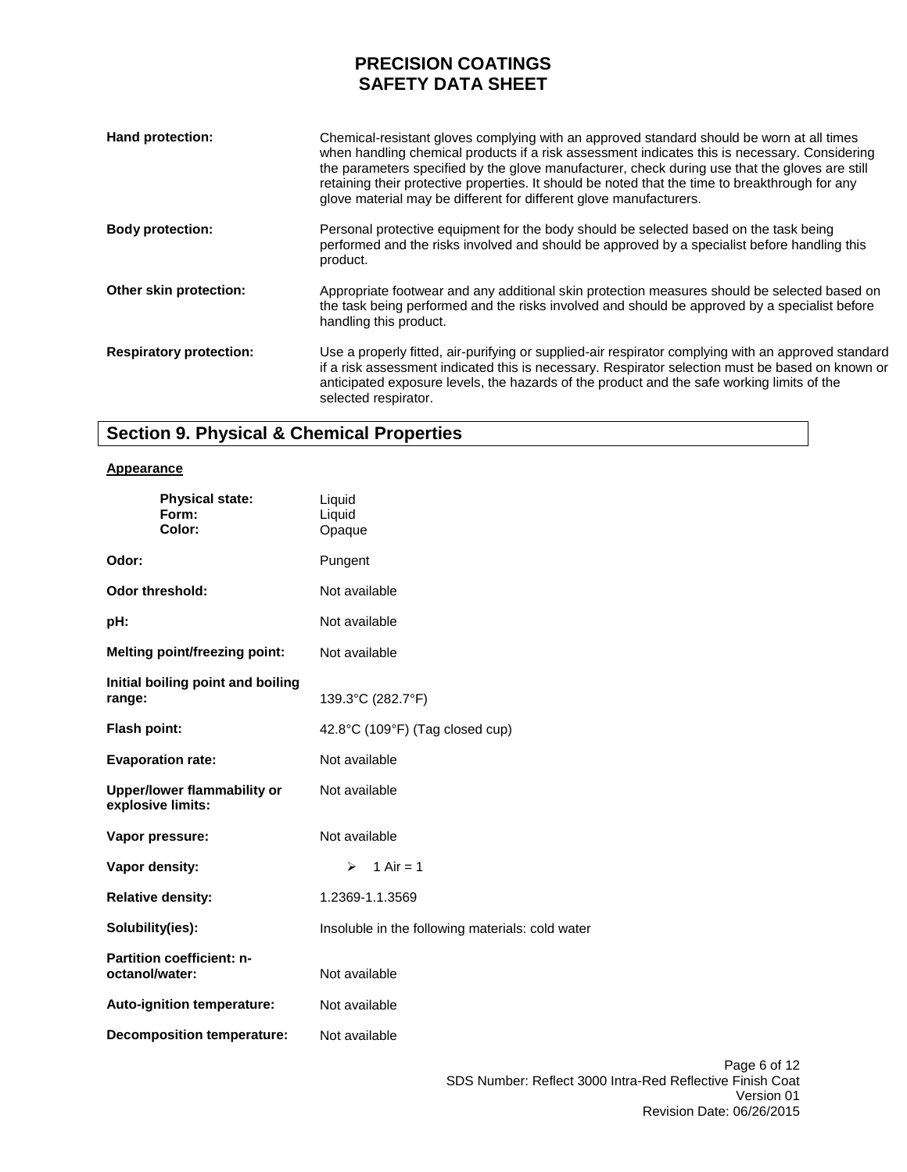| Hand protection:               | Chemical-resistant gloves complying with an approved standard should be worn at all times<br>when handling chemical products if a risk assessment indicates this is necessary. Considering<br>the parameters specified by the glove manufacturer, check during use that the gloves are still<br>retaining their protective properties. It should be noted that the time to breakthrough for any<br>glove material may be different for different glove manufacturers. |
|--------------------------------|-----------------------------------------------------------------------------------------------------------------------------------------------------------------------------------------------------------------------------------------------------------------------------------------------------------------------------------------------------------------------------------------------------------------------------------------------------------------------|
| <b>Body protection:</b>        | Personal protective equipment for the body should be selected based on the task being<br>performed and the risks involved and should be approved by a specialist before handling this<br>product.                                                                                                                                                                                                                                                                     |
| Other skin protection:         | Appropriate footwear and any additional skin protection measures should be selected based on<br>the task being performed and the risks involved and should be approved by a specialist before<br>handling this product.                                                                                                                                                                                                                                               |
| <b>Respiratory protection:</b> | Use a properly fitted, air-purifying or supplied-air respirator complying with an approved standard<br>if a risk assessment indicated this is necessary. Respirator selection must be based on known or<br>anticipated exposure levels, the hazards of the product and the safe working limits of the<br>selected respirator.                                                                                                                                         |

# **Section 9. Physical & Chemical Properties**

### **Appearance**

| <b>Physical state:</b><br>Form:<br>Color:          | Liquid<br>Liquid<br>Opaque                       |  |
|----------------------------------------------------|--------------------------------------------------|--|
| Odor:                                              | Pungent                                          |  |
| <b>Odor threshold:</b>                             | Not available                                    |  |
| pH:                                                | Not available                                    |  |
| <b>Melting point/freezing point:</b>               | Not available                                    |  |
| Initial boiling point and boiling<br>range:        | 139.3°C (282.7°F)                                |  |
| <b>Flash point:</b>                                | 42.8°C (109°F) (Tag closed cup)                  |  |
| <b>Evaporation rate:</b>                           | Not available                                    |  |
| Upper/lower flammability or<br>explosive limits:   | Not available                                    |  |
| Vapor pressure:                                    | Not available                                    |  |
| Vapor density:                                     | 1 Air = $1$<br>⋗                                 |  |
| <b>Relative density:</b>                           | 1.2369-1.1.3569                                  |  |
| Solubility(ies):                                   | Insoluble in the following materials: cold water |  |
| <b>Partition coefficient: n-</b><br>octanol/water: | Not available                                    |  |
| Auto-ignition temperature:                         | Not available                                    |  |
| <b>Decomposition temperature:</b>                  | Not available                                    |  |
|                                                    |                                                  |  |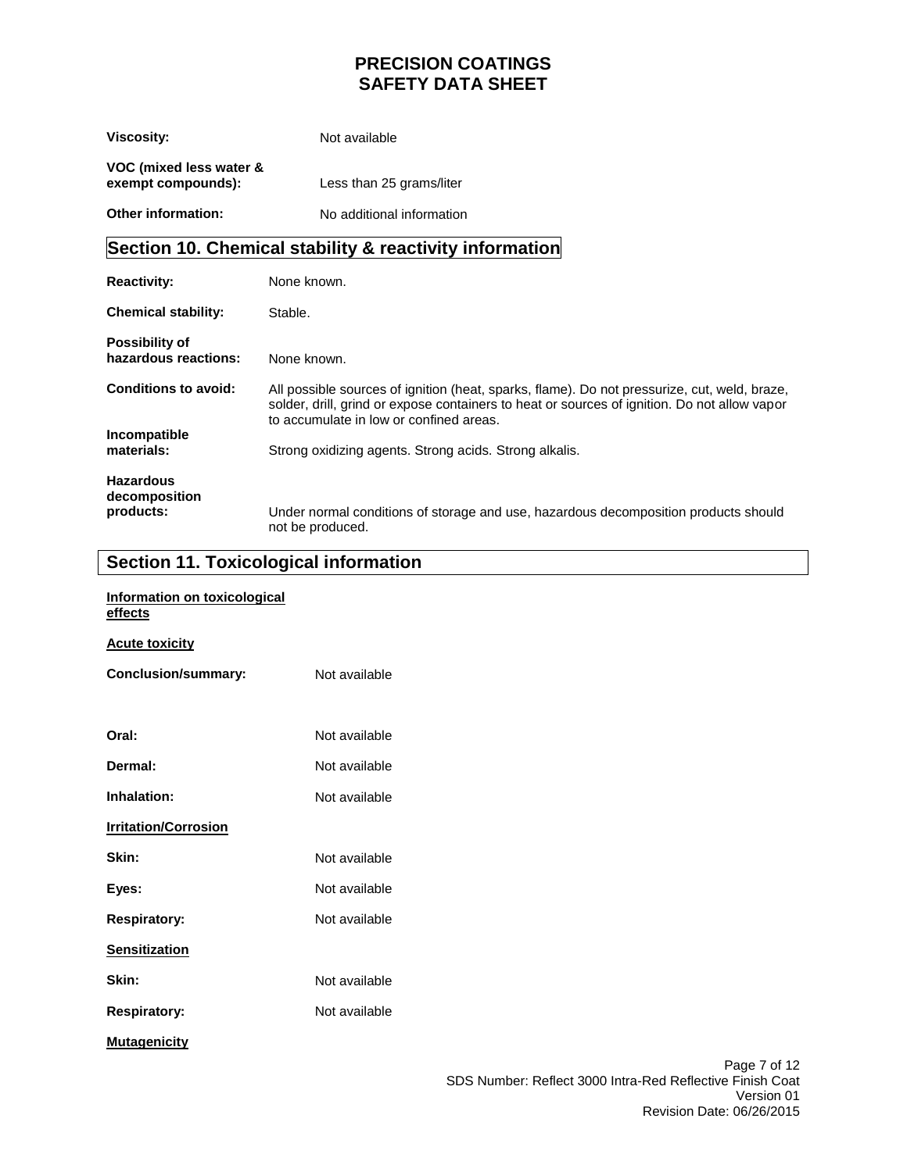| <b>Viscosity:</b>                             | Not available             |  |  |
|-----------------------------------------------|---------------------------|--|--|
| VOC (mixed less water &<br>exempt compounds): | Less than 25 grams/liter  |  |  |
| <b>Other information:</b>                     | No additional information |  |  |

# **Section 10. Chemical stability & reactivity information**

| <b>Reactivity:</b>                            | None known.                                                                                                                                                                                                                             |
|-----------------------------------------------|-----------------------------------------------------------------------------------------------------------------------------------------------------------------------------------------------------------------------------------------|
| <b>Chemical stability:</b>                    | Stable.                                                                                                                                                                                                                                 |
| <b>Possibility of</b><br>hazardous reactions: | None known.                                                                                                                                                                                                                             |
| <b>Conditions to avoid:</b>                   | All possible sources of ignition (heat, sparks, flame). Do not pressurize, cut, weld, braze,<br>solder, drill, grind or expose containers to heat or sources of ignition. Do not allow vapor<br>to accumulate in low or confined areas. |
| Incompatible<br>materials:                    | Strong oxidizing agents. Strong acids. Strong alkalis.                                                                                                                                                                                  |
|                                               |                                                                                                                                                                                                                                         |
| <b>Hazardous</b><br>decomposition             |                                                                                                                                                                                                                                         |
| products:                                     | Under normal conditions of storage and use, hazardous decomposition products should<br>not be produced.                                                                                                                                 |

# **Section 11. Toxicological information**

| Information on toxicological<br><u>effects</u> |               |
|------------------------------------------------|---------------|
| <b>Acute toxicity</b>                          |               |
| <b>Conclusion/summary:</b>                     | Not available |
|                                                |               |
| Oral:                                          | Not available |
| Dermal:                                        | Not available |
| Inhalation:                                    | Not available |
| <b>Irritation/Corrosion</b>                    |               |
| Skin:                                          | Not available |
| Eyes:                                          | Not available |
| <b>Respiratory:</b>                            | Not available |
| <b>Sensitization</b>                           |               |
| Skin:                                          | Not available |
| <b>Respiratory:</b>                            | Not available |
| <b>Mutagenicity</b>                            |               |
|                                                |               |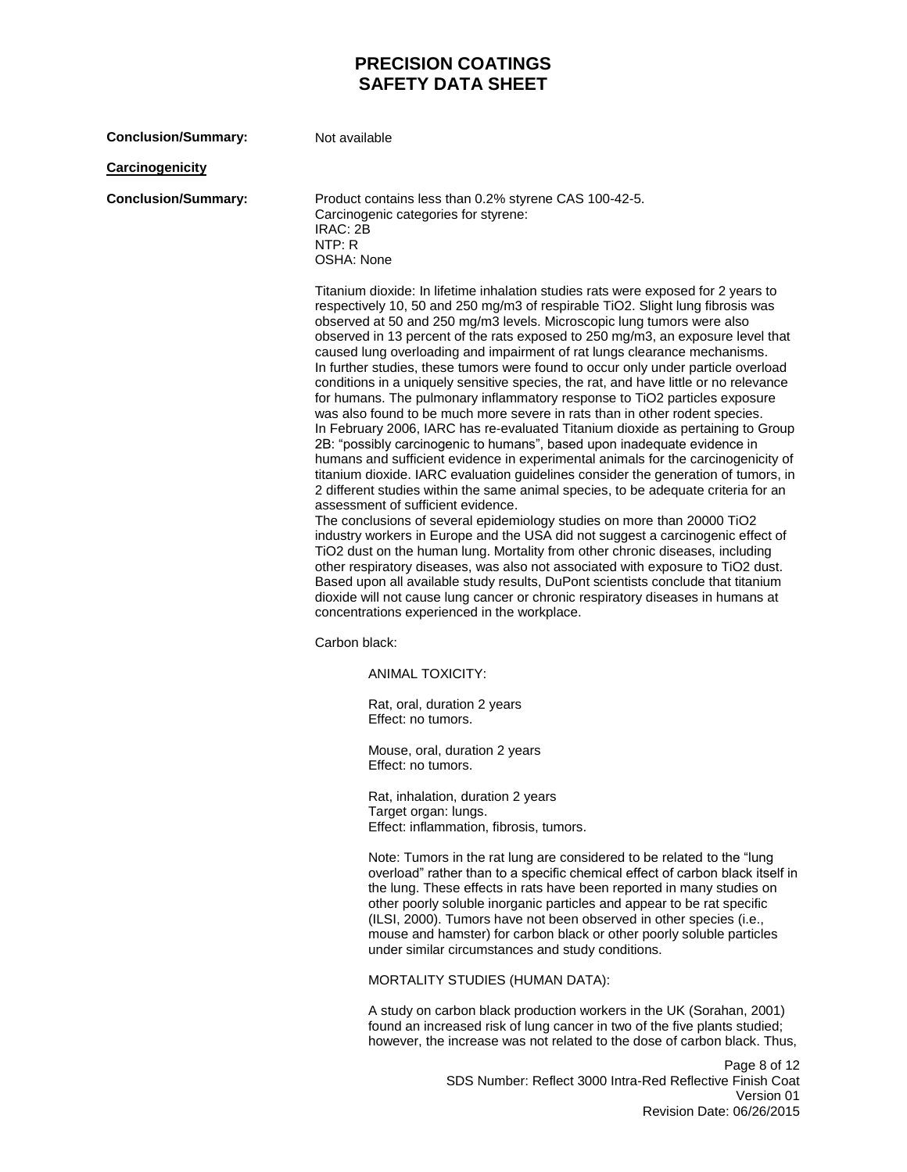| <b>Conclusion/Summary:</b> | Not available                                                                                                                                                                                                                                                                                                                                                                                                                                                                                                                                                                                                                                                                                                                                                                                                                                                                                                                                                                                                                                                                                                                                                                                                                                                                                                                                                                                                                                                                                                                                                                                                                                                                                                                                                                                           |
|----------------------------|---------------------------------------------------------------------------------------------------------------------------------------------------------------------------------------------------------------------------------------------------------------------------------------------------------------------------------------------------------------------------------------------------------------------------------------------------------------------------------------------------------------------------------------------------------------------------------------------------------------------------------------------------------------------------------------------------------------------------------------------------------------------------------------------------------------------------------------------------------------------------------------------------------------------------------------------------------------------------------------------------------------------------------------------------------------------------------------------------------------------------------------------------------------------------------------------------------------------------------------------------------------------------------------------------------------------------------------------------------------------------------------------------------------------------------------------------------------------------------------------------------------------------------------------------------------------------------------------------------------------------------------------------------------------------------------------------------------------------------------------------------------------------------------------------------|
| <b>Carcinogenicity</b>     |                                                                                                                                                                                                                                                                                                                                                                                                                                                                                                                                                                                                                                                                                                                                                                                                                                                                                                                                                                                                                                                                                                                                                                                                                                                                                                                                                                                                                                                                                                                                                                                                                                                                                                                                                                                                         |
| <b>Conclusion/Summary:</b> | Product contains less than 0.2% styrene CAS 100-42-5.<br>Carcinogenic categories for styrene:<br>IRAC: 2B<br>NTP: R<br>OSHA: None                                                                                                                                                                                                                                                                                                                                                                                                                                                                                                                                                                                                                                                                                                                                                                                                                                                                                                                                                                                                                                                                                                                                                                                                                                                                                                                                                                                                                                                                                                                                                                                                                                                                       |
|                            | Titanium dioxide: In lifetime inhalation studies rats were exposed for 2 years to<br>respectively 10, 50 and 250 mg/m3 of respirable TiO2. Slight lung fibrosis was<br>observed at 50 and 250 mg/m3 levels. Microscopic lung tumors were also<br>observed in 13 percent of the rats exposed to 250 mg/m3, an exposure level that<br>caused lung overloading and impairment of rat lungs clearance mechanisms.<br>In further studies, these tumors were found to occur only under particle overload<br>conditions in a uniquely sensitive species, the rat, and have little or no relevance<br>for humans. The pulmonary inflammatory response to TiO2 particles exposure<br>was also found to be much more severe in rats than in other rodent species.<br>In February 2006, IARC has re-evaluated Titanium dioxide as pertaining to Group<br>2B: "possibly carcinogenic to humans", based upon inadequate evidence in<br>humans and sufficient evidence in experimental animals for the carcinogenicity of<br>titanium dioxide. IARC evaluation guidelines consider the generation of tumors, in<br>2 different studies within the same animal species, to be adequate criteria for an<br>assessment of sufficient evidence.<br>The conclusions of several epidemiology studies on more than 20000 TiO2<br>industry workers in Europe and the USA did not suggest a carcinogenic effect of<br>TiO2 dust on the human lung. Mortality from other chronic diseases, including<br>other respiratory diseases, was also not associated with exposure to TiO2 dust.<br>Based upon all available study results, DuPont scientists conclude that titanium<br>dioxide will not cause lung cancer or chronic respiratory diseases in humans at<br>concentrations experienced in the workplace.<br>Carbon black: |
|                            | <b>ANIMAL TOXICITY:</b>                                                                                                                                                                                                                                                                                                                                                                                                                                                                                                                                                                                                                                                                                                                                                                                                                                                                                                                                                                                                                                                                                                                                                                                                                                                                                                                                                                                                                                                                                                                                                                                                                                                                                                                                                                                 |
|                            | Rat, oral, duration 2 years<br>Effect: no tumors.                                                                                                                                                                                                                                                                                                                                                                                                                                                                                                                                                                                                                                                                                                                                                                                                                                                                                                                                                                                                                                                                                                                                                                                                                                                                                                                                                                                                                                                                                                                                                                                                                                                                                                                                                       |
|                            | Mouse, oral, duration 2 years<br>Effect: no tumors.                                                                                                                                                                                                                                                                                                                                                                                                                                                                                                                                                                                                                                                                                                                                                                                                                                                                                                                                                                                                                                                                                                                                                                                                                                                                                                                                                                                                                                                                                                                                                                                                                                                                                                                                                     |
|                            | Rat, inhalation, duration 2 years<br>Target organ: lungs.<br>Effect: inflammation, fibrosis, tumors.                                                                                                                                                                                                                                                                                                                                                                                                                                                                                                                                                                                                                                                                                                                                                                                                                                                                                                                                                                                                                                                                                                                                                                                                                                                                                                                                                                                                                                                                                                                                                                                                                                                                                                    |
|                            | Note: Tumors in the rat lung are considered to be related to the "lung<br>overload" rather than to a specific chemical effect of carbon black itself in<br>the lung. These effects in rats have been reported in many studies on<br>other poorly soluble inorganic particles and appear to be rat specific<br>(ILSI, 2000). Tumors have not been observed in other species (i.e.,<br>mouse and hamster) for carbon black or other poorly soluble particles<br>under similar circumstances and study conditions.                                                                                                                                                                                                                                                                                                                                                                                                                                                                                                                                                                                                                                                                                                                                                                                                                                                                                                                                                                                                                                                                                                                                                                                                                                                                                         |
|                            | MORTALITY STUDIES (HUMAN DATA):                                                                                                                                                                                                                                                                                                                                                                                                                                                                                                                                                                                                                                                                                                                                                                                                                                                                                                                                                                                                                                                                                                                                                                                                                                                                                                                                                                                                                                                                                                                                                                                                                                                                                                                                                                         |
|                            | A study on carbon black production workers in the UK (Sorahan, 2001)<br>found an increased risk of lung cancer in two of the five plants studied;<br>however, the increase was not related to the dose of carbon black. Thus,                                                                                                                                                                                                                                                                                                                                                                                                                                                                                                                                                                                                                                                                                                                                                                                                                                                                                                                                                                                                                                                                                                                                                                                                                                                                                                                                                                                                                                                                                                                                                                           |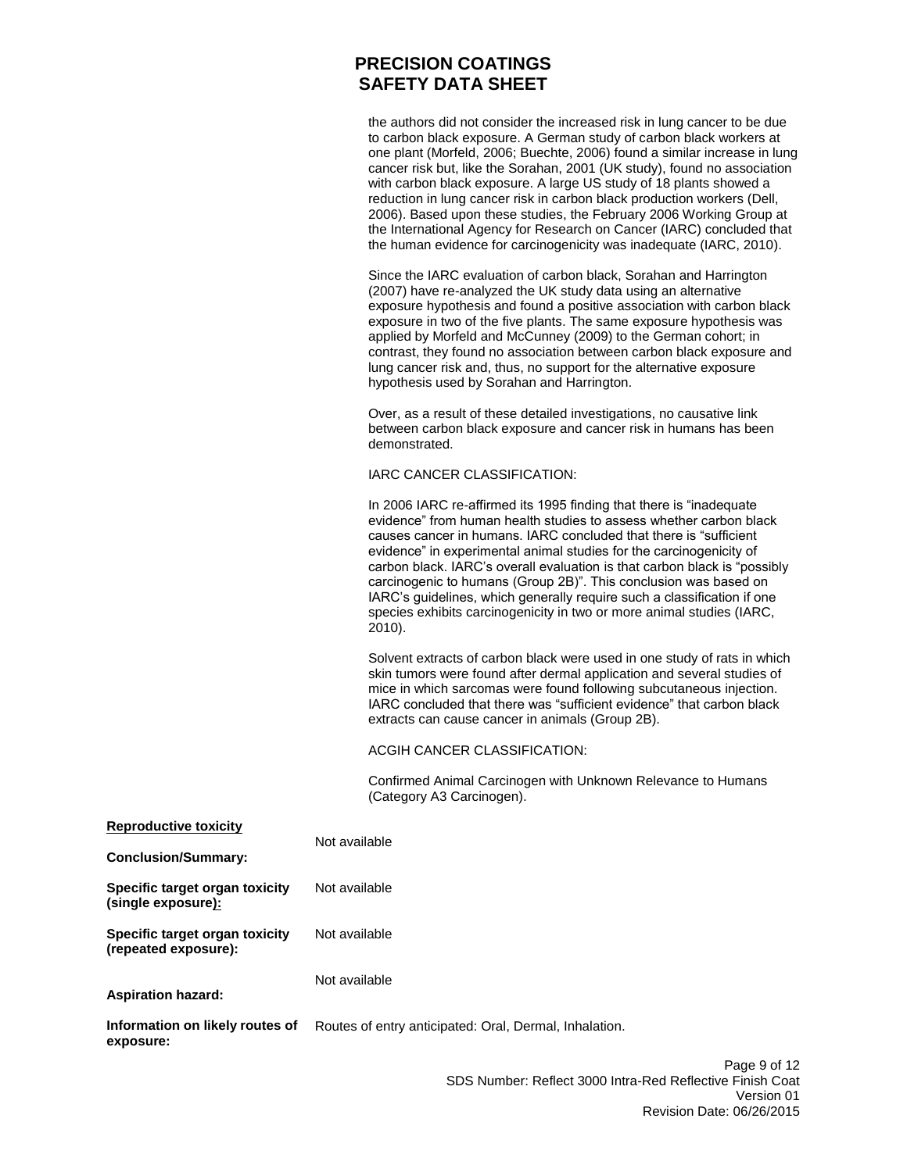the authors did not consider the increased risk in lung cancer to be due to carbon black exposure. A German study of carbon black workers at one plant (Morfeld, 2006; Buechte, 2006) found a similar increase in lung cancer risk but, like the Sorahan, 2001 (UK study), found no association with carbon black exposure. A large US study of 18 plants showed a reduction in lung cancer risk in carbon black production workers (Dell, 2006). Based upon these studies, the February 2006 Working Group at the International Agency for Research on Cancer (IARC) concluded that the human evidence for carcinogenicity was inadequate (IARC, 2010).

Since the IARC evaluation of carbon black, Sorahan and Harrington (2007) have re-analyzed the UK study data using an alternative exposure hypothesis and found a positive association with carbon black exposure in two of the five plants. The same exposure hypothesis was applied by Morfeld and McCunney (2009) to the German cohort; in contrast, they found no association between carbon black exposure and lung cancer risk and, thus, no support for the alternative exposure hypothesis used by Sorahan and Harrington.

Over, as a result of these detailed investigations, no causative link between carbon black exposure and cancer risk in humans has been demonstrated.

### IARC CANCER CLASSIFICATION:

In 2006 IARC re-affirmed its 1995 finding that there is "inadequate evidence" from human health studies to assess whether carbon black causes cancer in humans. IARC concluded that there is "sufficient evidence" in experimental animal studies for the carcinogenicity of carbon black. IARC's overall evaluation is that carbon black is "possibly carcinogenic to humans (Group 2B)". This conclusion was based on IARC's guidelines, which generally require such a classification if one species exhibits carcinogenicity in two or more animal studies (IARC, 2010).

Solvent extracts of carbon black were used in one study of rats in which skin tumors were found after dermal application and several studies of mice in which sarcomas were found following subcutaneous injection. IARC concluded that there was "sufficient evidence" that carbon black extracts can cause cancer in animals (Group 2B).

### ACGIH CANCER CLASSIFICATION:

Confirmed Animal Carcinogen with Unknown Relevance to Humans (Category A3 Carcinogen).

| Reproductive toxicity                                        | Not available                                          |
|--------------------------------------------------------------|--------------------------------------------------------|
| <b>Conclusion/Summary:</b>                                   |                                                        |
| Specific target organ toxicity<br>(single exposure <u>):</u> | Not available                                          |
| Specific target organ toxicity<br>(repeated exposure):       | Not available                                          |
| <b>Aspiration hazard:</b>                                    | Not available                                          |
| Information on likely routes of<br>exposure:                 | Routes of entry anticipated: Oral, Dermal, Inhalation. |
|                                                              |                                                        |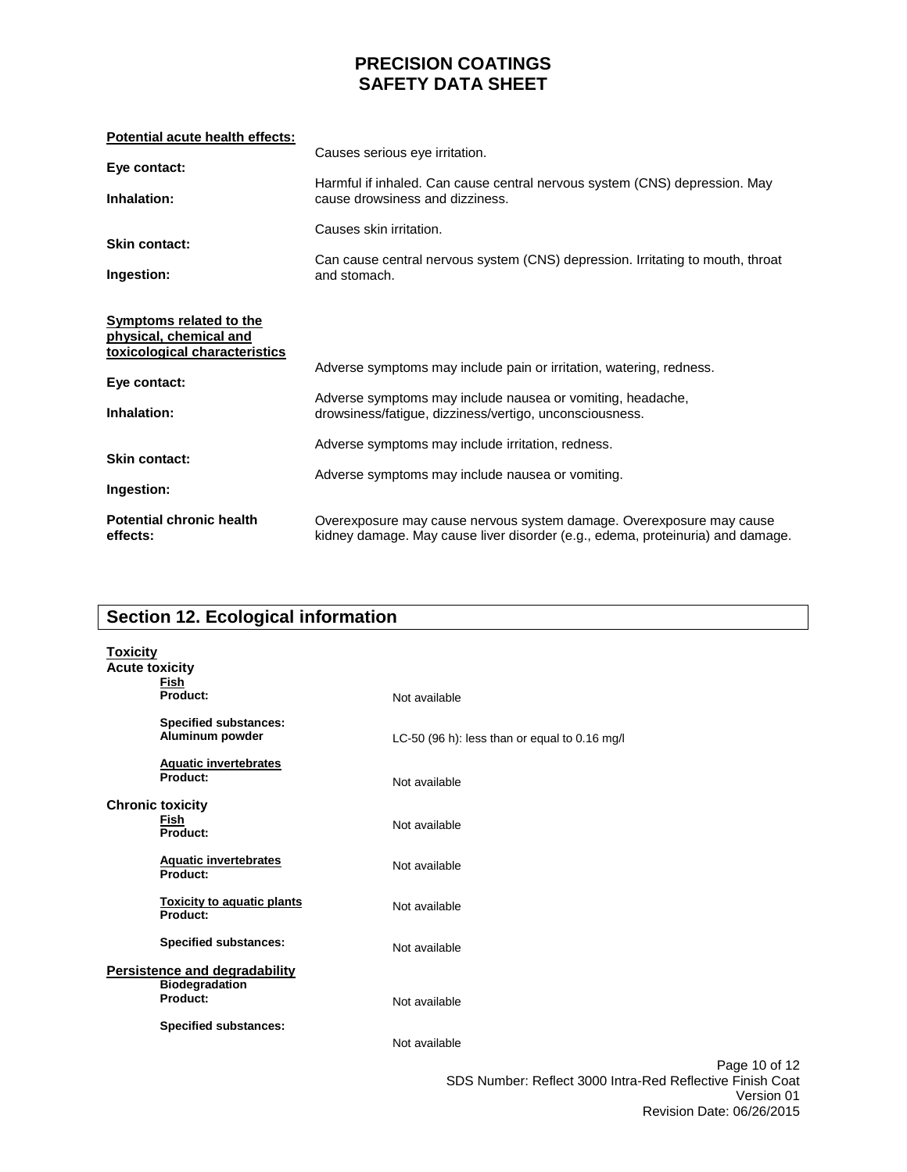| Potential acute health effects:                                                                                          |                                                                                                                                                                                              |
|--------------------------------------------------------------------------------------------------------------------------|----------------------------------------------------------------------------------------------------------------------------------------------------------------------------------------------|
| Eye contact:                                                                                                             | Causes serious eye irritation.                                                                                                                                                               |
| Inhalation:                                                                                                              | Harmful if inhaled. Can cause central nervous system (CNS) depression. May<br>cause drowsiness and dizziness.                                                                                |
| <b>Skin contact:</b>                                                                                                     | Causes skin irritation.                                                                                                                                                                      |
| Ingestion:                                                                                                               | Can cause central nervous system (CNS) depression. Irritating to mouth, throat<br>and stomach.                                                                                               |
| <b>Symptoms related to the</b><br>physical, chemical and<br>toxicological characteristics<br>Eye contact:<br>Inhalation: | Adverse symptoms may include pain or irritation, watering, redness.<br>Adverse symptoms may include nausea or vomiting, headache,<br>drowsiness/fatigue, dizziness/vertigo, unconsciousness. |
| <b>Skin contact:</b><br>Ingestion:                                                                                       | Adverse symptoms may include irritation, redness.<br>Adverse symptoms may include nausea or vomiting.                                                                                        |
| <b>Potential chronic health</b><br>effects:                                                                              | Overexposure may cause nervous system damage. Overexposure may cause<br>kidney damage. May cause liver disorder (e.g., edema, proteinuria) and damage.                                       |

# **Section 12. Ecological information**

| <b>Toxicity</b><br><b>Acute toxicity</b> | Fish                                                                      |                                                                                                                       |
|------------------------------------------|---------------------------------------------------------------------------|-----------------------------------------------------------------------------------------------------------------------|
|                                          | Product:                                                                  | Not available                                                                                                         |
|                                          | <b>Specified substances:</b><br>Aluminum powder                           | LC-50 (96 h): less than or equal to 0.16 mg/l                                                                         |
|                                          | <b>Aquatic invertebrates</b><br>Product:                                  | Not available                                                                                                         |
|                                          | <b>Chronic toxicity</b><br>Fish<br>Product:                               | Not available                                                                                                         |
|                                          | <b>Aquatic invertebrates</b><br>Product:                                  | Not available                                                                                                         |
|                                          | <b>Toxicity to aquatic plants</b><br>Product:                             | Not available                                                                                                         |
|                                          | <b>Specified substances:</b>                                              | Not available                                                                                                         |
|                                          | <b>Persistence and degradability</b><br><b>Biodegradation</b><br>Product: |                                                                                                                       |
|                                          |                                                                           | Not available                                                                                                         |
|                                          | <b>Specified substances:</b>                                              | Not available                                                                                                         |
|                                          |                                                                           | Page 10 of 12<br>$0.00 \text{ M}$ and $\sim 0.4$ and $0.000 \text{ km}$ $\sim 0.4 \text{ M}$ and $\sim 0.1 \text{ M}$ |

SDS Number: Reflect 3000 Intra-Red Reflective Finish Coat Version 01 Revision Date: 06/26/2015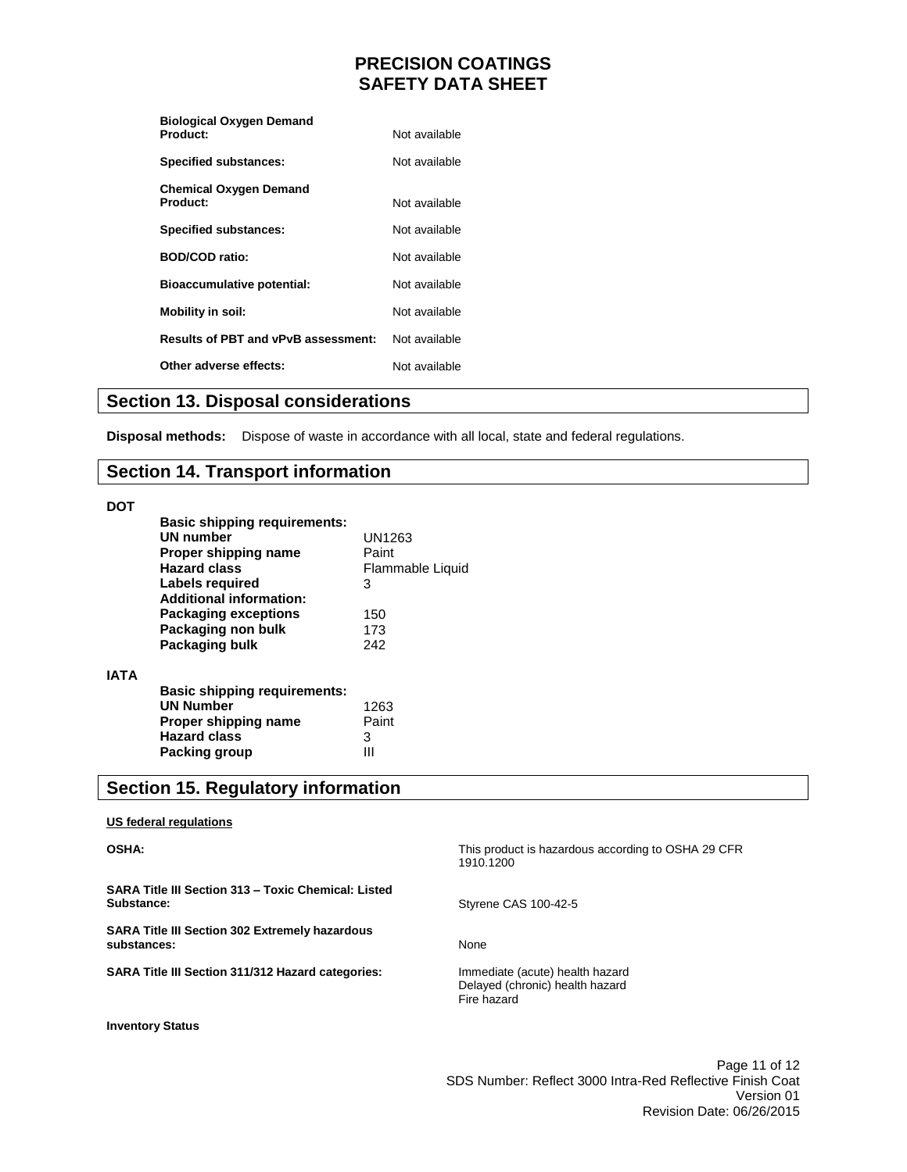| <b>Biological Oxygen Demand</b>            |               |
|--------------------------------------------|---------------|
| Product:                                   | Not available |
| <b>Specified substances:</b>               | Not available |
| <b>Chemical Oxygen Demand</b><br>Product:  | Not available |
| <b>Specified substances:</b>               | Not available |
| <b>BOD/COD ratio:</b>                      | Not available |
| <b>Bioaccumulative potential:</b>          | Not available |
| Mobility in soil:                          | Not available |
| <b>Results of PBT and vPvB assessment:</b> | Not available |
| Other adverse effects:                     | Not available |

### **Section 13. Disposal considerations**

**Disposal methods:** Dispose of waste in accordance with all local, state and federal regulations.

### **Section 14. Transport information**

#### **DOT**

**IATA**

| <b>Basic shipping requirements:</b><br><b>UN number</b><br>Proper shipping name<br><b>Hazard class</b><br>Labels required<br><b>Additional information:</b> | UN1263<br>Paint<br>Flammable Liquid<br>3 |
|-------------------------------------------------------------------------------------------------------------------------------------------------------------|------------------------------------------|
| <b>Packaging exceptions</b><br>Packaging non bulk<br>Packaging bulk                                                                                         | 150<br>173<br>242                        |
| <b>Basic shipping requirements:</b><br><b>UN Number</b><br>Proper shipping name<br><b>Hazard class</b><br>Packing group                                     | 1263<br>Paint<br>3                       |

# **Section 15. Regulatory information**

### **US federal regulations**

### **OSHA:**

**SARA Title III Section 313 – Toxic Chemical: Listed Substance:**

**SARA Title III Section 302 Extremely hazardous substances:**

**SARA Title III Section 311/312 Hazard categories:**

**Inventory Status**

This product is hazardous according to OSHA 29 CFR 1910.1200

Styrene CAS 100-42-5

None

Immediate (acute) health hazard Delayed (chronic) health hazard Fire hazard

Page 11 of 12 SDS Number: Reflect 3000 Intra-Red Reflective Finish Coat Version 01 Revision Date: 06/26/2015